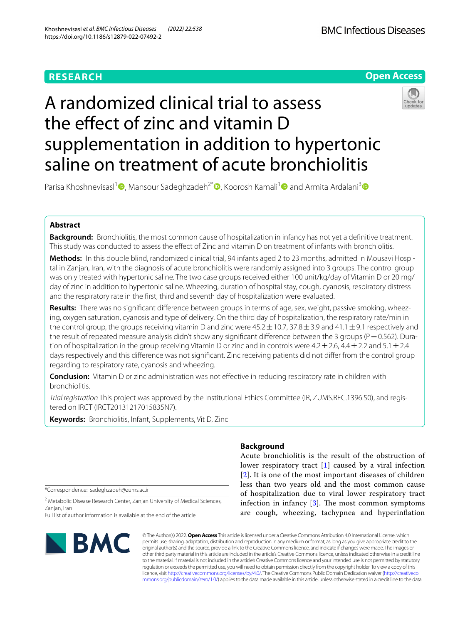# **RESEARCH**



# A randomized clinical trial to assess the effect of zinc and vitamin D supplementation in addition to hypertonic saline on treatment of acute bronchiolitis



Parisa Khoshnevisasl<sup>1</sup> [,](http://orcid.org/0000-0002-2458-1984) Mansour Sadeghzadeh<sup>2[\\*](http://orcid.org/0000-0001-8721-2628)</sup> , Koorosh Kamali<sup>1</sup> and Armita Ardalani<sup>3</sup> and

# **Abstract**

**Background:** Bronchiolitis, the most common cause of hospitalization in infancy has not yet a defnitive treatment. This study was conducted to assess the efect of Zinc and vitamin D on treatment of infants with bronchiolitis.

**Methods:** In this double blind, randomized clinical trial, 94 infants aged 2 to 23 months, admitted in Mousavi Hospital in Zanjan, Iran, with the diagnosis of acute bronchiolitis were randomly assigned into 3 groups. The control group was only treated with hypertonic saline. The two case groups received either 100 unit/kg/day of Vitamin D or 20 mg/ day of zinc in addition to hypertonic saline. Wheezing, duration of hospital stay, cough, cyanosis, respiratory distress and the respiratory rate in the frst, third and seventh day of hospitalization were evaluated.

**Results:** There was no signifcant diference between groups in terms of age, sex, weight, passive smoking, wheezing, oxygen saturation, cyanosis and type of delivery. On the third day of hospitalization, the respiratory rate/min in the control group, the groups receiving vitamin D and zinc were  $45.2 \pm 10.7$ ,  $37.8 \pm 3.9$  and  $41.1 \pm 9.1$  respectively and the result of repeated measure analysis didn't show any significant difference between the 3 groups ( $P=0.562$ ). Duration of hospitalization in the group receiving Vitamin D or zinc and in controls were  $4.2 \pm 2.6$ ,  $4.4 \pm 2.2$  and  $5.1 \pm 2.4$ days respectively and this diference was not signifcant. Zinc receiving patients did not difer from the control group regarding to respiratory rate, cyanosis and wheezing.

**Conclusion:** Vitamin D or zinc administration was not effective in reducing respiratory rate in children with bronchiolitis.

*Trial registration* This project was approved by the Institutional Ethics Committee (IR, ZUMS.REC.1396.50), and registered on IRCT (IRCT20131217015835N7).

**Keywords:** Bronchiolitis, Infant, Supplements, Vit D, Zinc

\*Correspondence: sadeghzadeh@zums.ac.ir

<sup>2</sup> Metabolic Disease Research Center, Zanjan University of Medical Sciences, Zanjan, Iran

Full list of author information is available at the end of the article



# **Background**

Acute bronchiolitis is the result of the obstruction of lower respiratory tract [\[1](#page-5-0)] caused by a viral infection [[2](#page-5-1)]. It is one of the most important diseases of children less than two years old and the most common cause of hospitalization due to viral lower respiratory tract infection in infancy  $[3]$  $[3]$  $[3]$ . The most common symptoms are cough, wheezing, tachypnea and hyperinfation

© The Author(s) 2022. **Open Access** This article is licensed under a Creative Commons Attribution 4.0 International License, which permits use, sharing, adaptation, distribution and reproduction in any medium or format, as long as you give appropriate credit to the original author(s) and the source, provide a link to the Creative Commons licence, and indicate if changes were made. The images or other third party material in this article are included in the article's Creative Commons licence, unless indicated otherwise in a credit line to the material. If material is not included in the article's Creative Commons licence and your intended use is not permitted by statutory regulation or exceeds the permitted use, you will need to obtain permission directly from the copyright holder. To view a copy of this licence, visit [http://creativecommons.org/licenses/by/4.0/.](http://creativecommons.org/licenses/by/4.0/) The Creative Commons Public Domain Dedication waiver ([http://creativeco](http://creativecommons.org/publicdomain/zero/1.0/) [mmons.org/publicdomain/zero/1.0/](http://creativecommons.org/publicdomain/zero/1.0/)) applies to the data made available in this article, unless otherwise stated in a credit line to the data.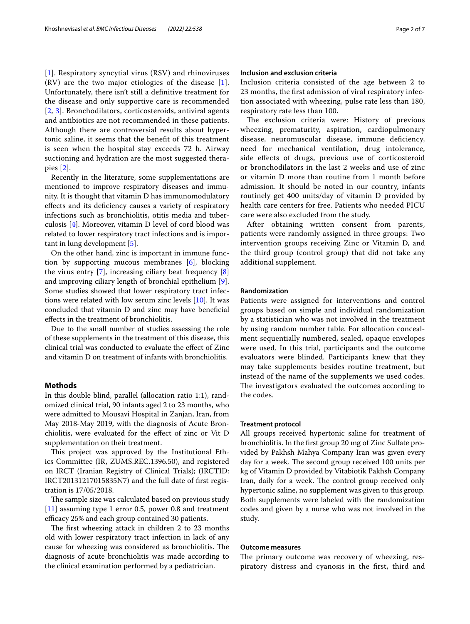[[1](#page-5-0)]. Respiratory syncytial virus (RSV) and rhinoviruses  $(RV)$  are the two major etiologies of the disease [[1\]](#page-5-0). Unfortunately, there isn't still a defnitive treatment for the disease and only supportive care is recommended [[2](#page-5-1), [3](#page-5-2)]. Bronchodilators, corticosteroids, antiviral agents and antibiotics are not recommended in these patients. Although there are controversial results about hypertonic saline, it seems that the beneft of this treatment is seen when the hospital stay exceeds 72 h. Airway suctioning and hydration are the most suggested therapies [\[2](#page-5-1)].

Recently in the literature, some supplementations are mentioned to improve respiratory diseases and immunity. It is thought that vitamin D has immunomodulatory efects and its defciency causes a variety of respiratory infections such as bronchiolitis, otitis media and tuberculosis [[4\]](#page-5-3). Moreover, vitamin D level of cord blood was related to lower respiratory tract infections and is important in lung development [[5\]](#page-5-4).

On the other hand, zinc is important in immune function by supporting mucous membranes [\[6](#page-5-5)], blocking the virus entry  $[7]$  $[7]$ , increasing ciliary beat frequency  $[8]$  $[8]$ and improving ciliary length of bronchial epithelium [\[9](#page-6-0)]. Some studies showed that lower respiratory tract infections were related with low serum zinc levels [\[10\]](#page-6-1). It was concluded that vitamin D and zinc may have benefcial efects in the treatment of bronchiolitis.

Due to the small number of studies assessing the role of these supplements in the treatment of this disease, this clinical trial was conducted to evaluate the efect of Zinc and vitamin D on treatment of infants with bronchiolitis.

# **Methods**

In this double blind, parallel (allocation ratio 1:1), randomized clinical trial, 90 infants aged 2 to 23 months, who were admitted to Mousavi Hospital in Zanjan, Iran, from May 2018-May 2019, with the diagnosis of Acute Bronchiolitis, were evaluated for the efect of zinc or Vit D supplementation on their treatment.

This project was approved by the Institutional Ethics Committee (IR, ZUMS.REC.1396.50), and registered on IRCT (Iranian Registry of Clinical Trials); (IRCTID: IRCT20131217015835N7) and the full date of frst registration is 17/05/2018.

The sample size was calculated based on previous study [[11\]](#page-6-2) assuming type 1 error 0.5, power 0.8 and treatment efficacy 25% and each group contained 30 patients.

The first wheezing attack in children 2 to 23 months old with lower respiratory tract infection in lack of any cause for wheezing was considered as bronchiolitis. The diagnosis of acute bronchiolitis was made according to the clinical examination performed by a pediatrician.

# **Inclusion and exclusion criteria**

Inclusion criteria consisted of the age between 2 to 23 months, the frst admission of viral respiratory infection associated with wheezing, pulse rate less than 180, respiratory rate less than 100.

The exclusion criteria were: History of previous wheezing, prematurity, aspiration, cardiopulmonary disease, neuromuscular disease, immune deficiency, need for mechanical ventilation, drug intolerance, side efects of drugs, previous use of corticosteroid or bronchodilators in the last 2 weeks and use of zinc or vitamin D more than routine from 1 month before admission. It should be noted in our country, infants routinely get 400 units/day of vitamin D provided by health care centers for free. Patients who needed PICU care were also excluded from the study.

After obtaining written consent from parents, patients were randomly assigned in three groups: Two intervention groups receiving Zinc or Vitamin D, and the third group (control group) that did not take any additional supplement.

### **Randomization**

Patients were assigned for interventions and control groups based on simple and individual randomization by a statistician who was not involved in the treatment by using random number table. For allocation concealment sequentially numbered, sealed, opaque envelopes were used. In this trial, participants and the outcome evaluators were blinded. Participants knew that they may take supplements besides routine treatment, but instead of the name of the supplements we used codes. The investigators evaluated the outcomes according to the codes.

# **Treatment protocol**

All groups received hypertonic saline for treatment of bronchiolitis. In the frst group 20 mg of Zinc Sulfate provided by Pakhsh Mahya Company Iran was given every day for a week. The second group received 100 units per kg of Vitamin D provided by Vitabiotik Pakhsh Company Iran, daily for a week. The control group received only hypertonic saline, no supplement was given to this group. Both supplements were labeled with the randomization codes and given by a nurse who was not involved in the study.

# **Outcome measures**

The primary outcome was recovery of wheezing, respiratory distress and cyanosis in the frst, third and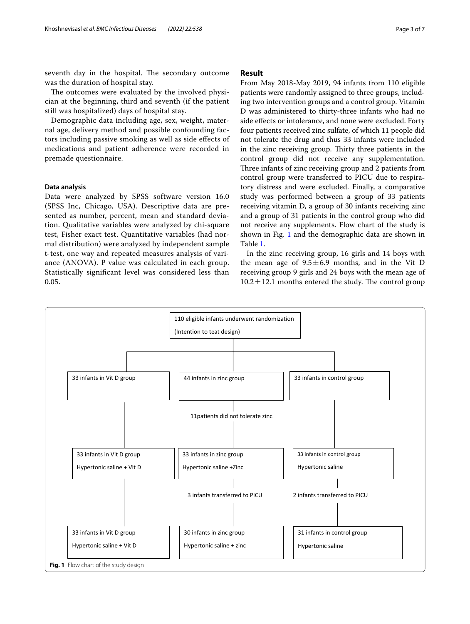seventh day in the hospital. The secondary outcome was the duration of hospital stay.

The outcomes were evaluated by the involved physician at the beginning, third and seventh (if the patient still was hospitalized) days of hospital stay.

Demographic data including age, sex, weight, maternal age, delivery method and possible confounding factors including passive smoking as well as side efects of medications and patient adherence were recorded in premade questionnaire.

# **Data analysis**

Data were analyzed by SPSS software version 16.0 (SPSS Inc, Chicago, USA). Descriptive data are presented as number, percent, mean and standard deviation. Qualitative variables were analyzed by chi-square test, Fisher exact test. Quantitative variables (had normal distribution) were analyzed by independent sample t-test, one way and repeated measures analysis of variance (ANOVA). P value was calculated in each group. Statistically signifcant level was considered less than 0.05.

# **Result**

From May 2018-May 2019, 94 infants from 110 eligible patients were randomly assigned to three groups, including two intervention groups and a control group. Vitamin D was administered to thirty-three infants who had no side effects or intolerance, and none were excluded. Forty four patients received zinc sulfate, of which 11 people did not tolerate the drug and thus 33 infants were included in the zinc receiving group. Thirty three patients in the control group did not receive any supplementation. Three infants of zinc receiving group and 2 patients from control group were transferred to PICU due to respiratory distress and were excluded. Finally, a comparative study was performed between a group of 33 patients receiving vitamin D, a group of 30 infants receiving zinc and a group of 31 patients in the control group who did not receive any supplements. Flow chart of the study is shown in Fig. [1](#page-2-0) and the demographic data are shown in Table [1](#page-3-0).

In the zinc receiving group, 16 girls and 14 boys with the mean age of  $9.5 \pm 6.9$  months, and in the Vit D receiving group 9 girls and 24 boys with the mean age of  $10.2 \pm 12.1$  months entered the study. The control group

<span id="page-2-0"></span>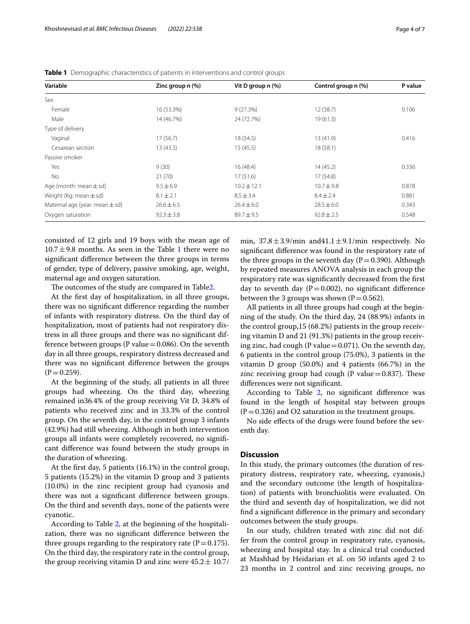| Variable                           | Zinc group n (%) | Vit D group n (%) | Control group n (%) | P value |
|------------------------------------|------------------|-------------------|---------------------|---------|
| Sex                                |                  |                   |                     |         |
| Female                             | 16 (53.3%)       | 9(27.3%)          | 12(38.7)            | 0.106   |
| Male                               | 14 (46.7%)       | 24 (72.7%)        | 19(61.3)            |         |
| Type of delivery                   |                  |                   |                     |         |
| Vaginal                            | 17(56.7)         | 18 (54.5)         | 13(41.9)            | 0.416   |
| Cesarean section                   | 13(43.3)         | 15(45.5)          | 18(58.1)            |         |
| Passive smoker                     |                  |                   |                     |         |
| Yes                                | 9(30)            | 16(48.4)          | 14(45.2)            | 0.336   |
| No                                 | 21(70)           | 17(51.6)          | 17(54.8)            |         |
| Age (month: mean $\pm$ sd)         | $9.5 \pm 6.9$    | $10.2 \pm 12.1$   | $10.7 + 9.8$        | 0.878   |
| Weight (Kg: mean $\pm$ sd)         | $8.1 \pm 2.1$    | $8.5 \pm 3.4$     | $8.4 \pm 2.4$       | 0.881   |
| Maternal age (year: mean $\pm$ sd) | $26.6 \pm 6.5$   | $26.4 \pm 6.0$    | $28.5 \pm 6.0$      | 0.343   |
| Oxygen saturation                  | $92.3 \pm 3.8$   | $89.7 \pm 9.5$    | $92.8 \pm 2.5$      | 0.548   |

<span id="page-3-0"></span>**Table 1** Demographic characteristics of patients in interventions and control groups

consisted of 12 girls and 19 boys with the mean age of  $10.7 \pm 9.8$  months. As seen in the Table [1](#page-3-0) there were no signifcant diference between the three groups in terms of gender, type of delivery, passive smoking, age, weight, maternal age and oxygen saturation.

The outcomes of the study are compared in Tabl[e2](#page-4-0).

At the frst day of hospitalization, in all three groups, there was no signifcant diference regarding the number of infants with respiratory distress. On the third day of hospitalization, most of patients had not respiratory distress in all three groups and there was no signifcant difference between groups (P value  $=$  0.086). On the seventh day in all three groups, respiratory distress decreased and there was no signifcant diference between the groups  $(P=0.259)$ .

At the beginning of the study, all patients in all three groups had wheezing. On the third day, wheezing remained in36.4% of the group receiving Vit D, 34.8% of patients who received zinc and in 33.3% of the control group. On the seventh day, in the control group 3 infants (42.9%) had still wheezing. Although in both intervention groups all infants were completely recovered, no signifcant diference was found between the study groups in the duration of wheezing.

At the frst day, 5 patients (16.1%) in the control group, 5 patients (15.2%) in the vitamin D group and 3 patients (10.0%) in the zinc recipient group had cyanosis and there was not a signifcant diference between groups. On the third and seventh days, none of the patients were cyanotic.

According to Table [2,](#page-4-0) at the beginning of the hospitalization, there was no signifcant diference between the three groups regarding to the respiratory rate ( $P=0.175$ ). On the third day, the respiratory rate in the control group, the group receiving vitamin D and zinc were  $45.2 \pm 10.7/$  min,  $37.8 \pm 3.9$ /min and $41.1 \pm 9.1$ /min respectively. No signifcant diference was found in the respiratory rate of the three groups in the seventh day ( $P=0.390$ ). Although by repeated measures ANOVA analysis in each group the respiratory rate was signifcantly decreased from the frst day to seventh day ( $P=0.002$ ), no significant difference between the 3 groups was shown ( $P=0.562$ ).

All patients in all three groups had cough at the beginning of the study. On the third day, 24 (88.9%) infants in the control group,15 (68.2%) patients in the group receiving vitamin D and 21 (91.3%) patients in the group receiving zinc, had cough (P value =  $0.071$ ). On the seventh day, 6 patients in the control group (75.0%), 3 patients in the vitamin D group (50.0%) and 4 patients (66.7%) in the zinc receiving group had cough (P value $=0.837$ ). These diferences were not signifcant.

According to Table [2](#page-4-0), no significant difference was found in the length of hospital stay between groups  $(P=0.326)$  and O2 saturation in the treatment groups.

No side efects of the drugs were found before the seventh day.

# **Discussion**

In this study, the primary outcomes (the duration of respiratory distress, respiratory rate, wheezing, cyanosis,) and the secondary outcome (the length of hospitalization) of patients with bronchiolitis were evaluated. On the third and seventh day of hospitalization, we did not fnd a signifcant diference in the primary and secondary outcomes between the study groups.

In our study, children treated with zinc did not differ from the control group in respiratory rate, cyanosis, wheezing and hospital stay. In a clinical trial conducted at Mashhad by Heidarian et al. on 50 infants aged 2 to 23 months in 2 control and zinc receiving groups, no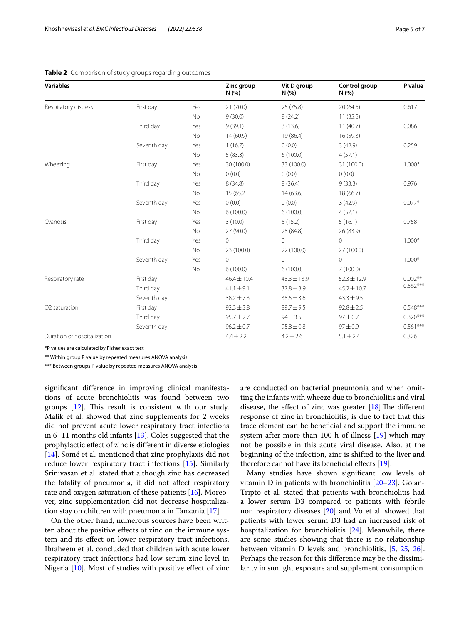| <b>Variables</b>            |             |           | Zinc group<br>N(%) | Vit D group<br>N(%) | Control group<br>N(%) | P value    |  |
|-----------------------------|-------------|-----------|--------------------|---------------------|-----------------------|------------|--|
| Respiratory distress        | First day   | Yes       | 21(70.0)           | 25(75.8)            | 20(64.5)              | 0.617      |  |
|                             |             | No        | 9(30.0)            | 8(24.2)             | 11(35.5)              |            |  |
|                             | Third day   | Yes       | 9(39.1)            | 3(13.6)             | 11(40.7)              | 0.086      |  |
|                             |             | No        | 14(60.9)           | 19 (86.4)           | 16(59.3)              |            |  |
|                             | Seventh day | Yes       | 1(16.7)            | 0(0.0)              | 3(42.9)               | 0.259      |  |
|                             |             | No        | 5(83.3)            | 6(100.0)            | 4(57.1)               |            |  |
| Wheezing                    | First day   | Yes       | 30 (100.0)         | 33 (100.0)          | 31 (100.0)            | $1.000*$   |  |
|                             |             | No        | 0(0.0)             | 0(0.0)              | 0(0.0)                |            |  |
|                             | Third day   | Yes       | 8(34.8)            | 8(36.4)             | 9(33.3)               | 0.976      |  |
|                             |             | No        | 15 (65.2)          | 14(63.6)            | 18 (66.7)             |            |  |
|                             | Seventh day | Yes       | 0(0.0)             | 0(0.0)              | 3(42.9)               | $0.077*$   |  |
|                             |             | No        | 6(100.0)           | 6(100.0)            | 4(57.1)               |            |  |
| Cyanosis                    | First day   | Yes       | 3(10.0)            | 5(15.2)             | 5(16.1)               | 0.758      |  |
|                             |             | <b>No</b> | 27 (90.0)          | 28 (84.8)           | 26 (83.9)             |            |  |
|                             | Third day   | Yes       | 0                  | $\circ$             | 0                     | $1.000*$   |  |
|                             |             | No        | 23 (100.0)         | 22 (100.0)          | 27 (100.0)            |            |  |
|                             | Seventh day | Yes       | 0                  | $\Omega$            | 0                     | $1.000*$   |  |
|                             |             | No        | 6(100.0)           | 6(100.0)            | 7(100.0)              |            |  |
| Respiratory rate            | First day   |           | $46.4 \pm 10.4$    | $48.3 \pm 13.9$     | $52.3 \pm 12.9$       | $0.002**$  |  |
|                             | Third day   |           | $41.1 \pm 9.1$     | $37.8 \pm 3.9$      | $45.2 \pm 10.7$       | $0.562***$ |  |
|                             | Seventh day |           | $38.2 \pm 7.3$     | $38.5 \pm 3.6$      | $43.3 \pm 9.5$        |            |  |
| O <sub>2</sub> saturation   | First day   |           | $92.3 \pm 3.8$     | $89.7 \pm 9.5$      | $92.8 \pm 2.5$        | $0.548***$ |  |
|                             | Third day   |           | $95.7 \pm 2.7$     | $94 \pm 3.5$        | $97 \pm 0.7$          | $0.320***$ |  |
|                             | Seventh day |           | $96.2 \pm 0.7$     | $95.8 \pm 0.8$      | $97 \pm 0.9$          | $0.561***$ |  |
| Duration of hospitalization |             |           | $4.4 \pm 2.2$      | $4.2 \pm 2.6$       | $5.1 \pm 2.4$         | 0.326      |  |

# <span id="page-4-0"></span>**Table 2** Comparison of study groups regarding outcomes

\*P values are calculated by Fisher exact test

\*\* Within group P value by repeated measures ANOVA analysis

\*\*\* Between groups P value by repeated measures ANOVA analysis

signifcant diference in improving clinical manifestations of acute bronchiolitis was found between two groups  $[12]$  $[12]$ . This result is consistent with our study. Malik et al. showed that zinc supplements for 2 weeks did not prevent acute lower respiratory tract infections in 6–11 months old infants [\[13](#page-6-4)]. Coles suggested that the prophylactic efect of zinc is diferent in diverse etiologies [[14\]](#page-6-5). Somé et al. mentioned that zinc prophylaxis did not reduce lower respiratory tract infections [[15\]](#page-6-6). Similarly Srinivasan et al. stated that although zinc has decreased the fatality of pneumonia, it did not afect respiratory rate and oxygen saturation of these patients  $[16]$  $[16]$ . Moreover, zinc supplementation did not decrease hospitalization stay on children with pneumonia in Tanzania [\[17](#page-6-8)].

On the other hand, numerous sources have been written about the positive efects of zinc on the immune system and its efect on lower respiratory tract infections. Ibraheem et al. concluded that children with acute lower respiratory tract infections had low serum zinc level in Nigeria [\[10](#page-6-1)]. Most of studies with positive efect of zinc are conducted on bacterial pneumonia and when omitting the infants with wheeze due to bronchiolitis and viral disease, the effect of zinc was greater  $[18]$ . The different response of zinc in bronchiolitis, is due to fact that this trace element can be benefcial and support the immune system after more than 100 h of illness [[19\]](#page-6-10) which may not be possible in this acute viral disease. Also, at the beginning of the infection, zinc is shifted to the liver and therefore cannot have its beneficial effects [[19](#page-6-10)].

Many studies have shown signifcant low levels of vitamin D in patients with bronchiolitis [[20–](#page-6-11)[23](#page-6-12)]. Golan-Tripto et al. stated that patients with bronchiolitis had a lower serum D3 compared to patients with febrile non respiratory diseases [[20\]](#page-6-11) and Vo et al. showed that patients with lower serum D3 had an increased risk of hospitalization for bronchiolitis [[24](#page-6-13)]. Meanwhile, there are some studies showing that there is no relationship between vitamin D levels and bronchiolitis, [\[5](#page-5-4), [25](#page-6-14), [26](#page-6-15)]. Perhaps the reason for this diference may be the dissimilarity in sunlight exposure and supplement consumption.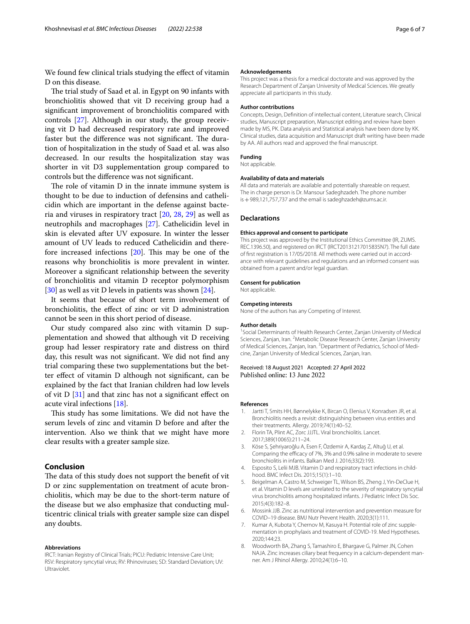We found few clinical trials studying the effect of vitamin D on this disease.

The trial study of Saad et al. in Egypt on 90 infants with bronchiolitis showed that vit D receiving group had a signifcant improvement of bronchiolitis compared with controls [\[27](#page-6-16)]. Although in our study, the group receiving vit D had decreased respiratory rate and improved faster but the difference was not significant. The duration of hospitalization in the study of Saad et al. was also decreased. In our results the hospitalization stay was shorter in vit D3 supplementation group compared to controls but the diference was not signifcant.

The role of vitamin  $D$  in the innate immune system is thought to be due to induction of defensins and cathelicidin which are important in the defense against bacteria and viruses in respiratory tract [\[20,](#page-6-11) [28](#page-6-17), [29](#page-6-18)] as well as neutrophils and macrophages [[27](#page-6-16)]. Cathelicidin level in skin is elevated after UV exposure. In winter the lesser amount of UV leads to reduced Cathelicidin and therefore increased infections  $[20]$  $[20]$  $[20]$ . This may be one of the reasons why bronchiolitis is more prevalent in winter. Moreover a signifcant relationship between the severity of bronchiolitis and vitamin D receptor polymorphism [[30\]](#page-6-19) as well as vit D levels in patients was shown [[24\]](#page-6-13).

It seems that because of short term involvement of bronchiolitis, the efect of zinc or vit D administration cannot be seen in this short period of disease.

Our study compared also zinc with vitamin D supplementation and showed that although vit D receiving group had lesser respiratory rate and distress on third day, this result was not signifcant. We did not fnd any trial comparing these two supplementations but the better efect of vitamin D although not signifcant, can be explained by the fact that Iranian children had low levels of vit D [[31\]](#page-6-20) and that zinc has not a signifcant efect on acute viral infections [\[18\]](#page-6-9).

This study has some limitations. We did not have the serum levels of zinc and vitamin D before and after the intervention. Also we think that we might have more clear results with a greater sample size.

# **Conclusion**

The data of this study does not support the benefit of vit D or zinc supplementation on treatment of acute bronchiolitis, which may be due to the short-term nature of the disease but we also emphasize that conducting multicentric clinical trials with greater sample size can dispel any doubts.

#### **Abbreviations**

IRCT: Iranian Registry of Clinical Trials; PICU: Pediatric Intensive Care Unit; RSV: Respiratory syncytial virus; RV: Rhinoviruses; SD: Standard Deviation; UV: Ultraviolet.

#### **Acknowledgements**

This project was a thesis for a medical doctorate and was approved by the Research Department of Zanjan University of Medical Sciences. We greatly appreciate all participants in this study.

#### **Author contributions**

Concepts, Design, Defnition of intellectual content, Literature search, Clinical studies, Manuscript preparation, Manuscript editing and review have been made by MS, PK. Data analysis and Statistical analysis have been done by KK. Clinical studies, data acquisition and Manuscript draft writing have been made by AA. All authors read and approved the fnal manuscript.

#### **Funding**

Not applicable.

#### **Availability of data and materials**

All data and materials are available and potentially shareable on request. The in charge person is Dr. Mansour Sadeghzadeh. The phone number is+989,121,757,737 and the email is sadeghzadeh@zums.ac.ir.

#### **Declarations**

#### **Ethics approval and consent to participate**

This project was approved by the Institutional Ethics Committee (IR, ZUMS. REC.1396.50), and registered on IRCT (IRCT20131217015835N7). The full date of frst registration is 17/05/2018. All methods were carried out in accordance with relevant guidelines and regulations and an informed consent was obtained from a parent and/or legal guardian.

#### **Consent for publication**

Not applicable.

#### **Competing interests**

None of the authors has any Competing of Interest.

#### **Author details**

<sup>1</sup> Social Determinants of Health Research Center, Zanjan University of Medical Sciences, Zanjan, Iran. <sup>2</sup> Metabolic Disease Research Center, Zanjan University of Medical Sciences, Zanjan, Iran. <sup>3</sup> Department of Pediatrics, School of Medicine, Zanjan University of Medical Sciences, Zanjan, Iran.

# Received: 18 August 2021 Accepted: 27 April 2022

#### **References**

- <span id="page-5-0"></span>1. Jartti T, Smits HH, Bønnelykke K, Bircan O, Elenius V, Konradsen JR, et al. Bronchiolitis needs a revisit: distinguishing between virus entities and their treatments. Allergy. 2019;74(1):40–52.
- <span id="page-5-1"></span>2. Florin TA, Plint AC, Zorc JJJTL. Viral bronchiolitis. Lancet. 2017;389(10065):211–24.
- <span id="page-5-2"></span>3. Köse S, Şehriyaroğlu A, Esen F, Özdemir A, Kardaş Z, Altuğ U, et al. Comparing the efficacy of 7%, 3% and 0.9% saline in moderate to severe bronchiolitis in infants. Balkan Med J. 2016;33(2):193.
- <span id="page-5-3"></span>4. Esposito S, Lelii MJB. Vitamin D and respiratory tract infections in childhood. BMC Infect Dis. 2015;15(1):1–10.
- <span id="page-5-4"></span>5. Beigelman A, Castro M, Schweiger TL, Wilson BS, Zheng J, Yin-DeClue H, et al. Vitamin D levels are unrelated to the severity of respiratory syncytial virus bronchiolitis among hospitalized infants. J Pediatric Infect Dis Soc. 2015;4(3):182–8.
- <span id="page-5-5"></span>6. Mossink JJB. Zinc as nutritional intervention and prevention measure for COVID–19 disease. BMJ Nutr Prevent Health. 2020;3(1):111.
- <span id="page-5-6"></span>7. Kumar A, Kubota Y, Chernov M, Kasuya H. Potential role of zinc supplementation in prophylaxis and treatment of COVID-19. Med Hypotheses. 2020;144:23.
- <span id="page-5-7"></span>8. Woodworth BA, Zhang S, Tamashiro E, Bhargave G, Palmer JN, Cohen NAJA. Zinc increases ciliary beat frequency in a calcium-dependent manner. Am J Rhinol Allergy. 2010;24(1):6–10.